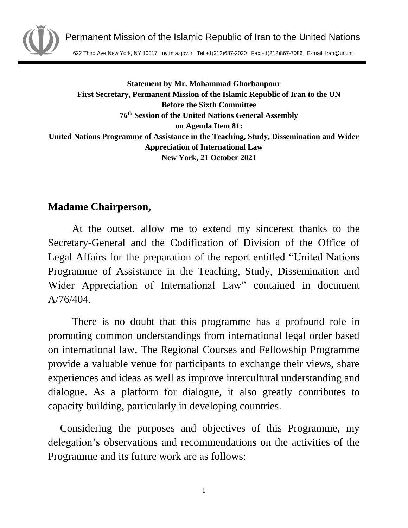

Permanent Mission of the Islamic Republic of Iran to the United Nations

622 Third Ave New York, NY 10017 ny.mfa.gov.ir Tel:+1(212)687-2020 Fax:+1(212)867-7086 E-mail: Iran@un.int

**Statement by Mr. Mohammad Ghorbanpour First Secretary, Permanent Mission of the Islamic Republic of Iran to the UN Before the Sixth Committee 76 th Session of the United Nations General Assembly on Agenda Item 81: United Nations Programme of Assistance in the Teaching, Study, Dissemination and Wider Appreciation of International Law New York, 21 October 2021**

## **Madame Chairperson,**

At the outset, allow me to extend my sincerest thanks to the Secretary-General and the Codification of Division of the Office of Legal Affairs for the preparation of the report entitled "United Nations Programme of Assistance in the Teaching, Study, Dissemination and Wider Appreciation of International Law" contained in document  $A/76/404.$ 

There is no doubt that this programme has a profound role in promoting common understandings from international legal order based on international law. The Regional Courses and Fellowship Programme provide a valuable venue for participants to exchange their views, share experiences and ideas as well as improve intercultural understanding and dialogue. As a platform for dialogue, it also greatly contributes to capacity building, particularly in developing countries.

Considering the purposes and objectives of this Programme, my delegation's observations and recommendations on the activities of the Programme and its future work are as follows: